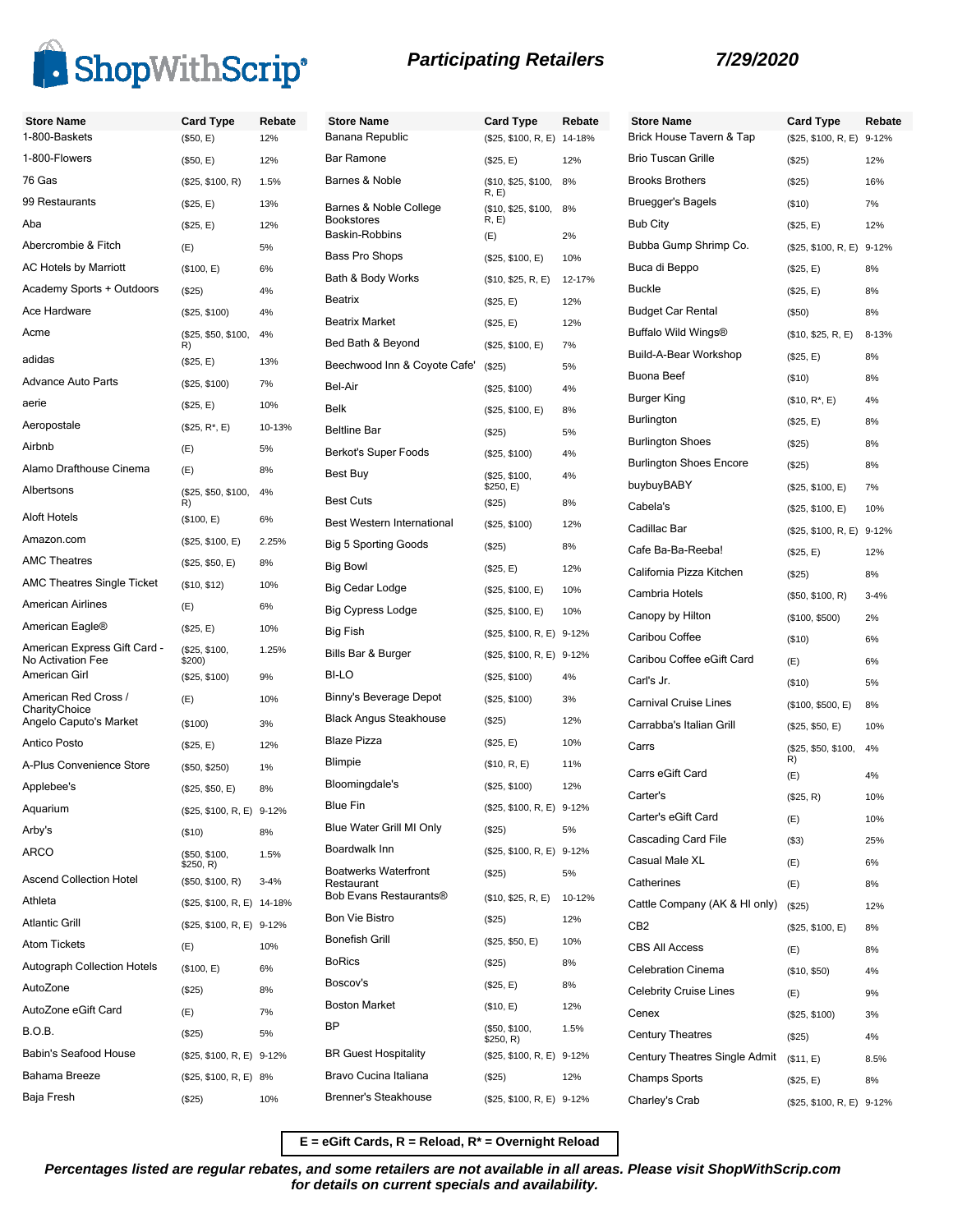

| <b>Store Name</b>                                 | <b>Card Type</b>           | Rebate   | <b>Store Name</b>                    | <b>Card Type</b>             | Rebate | Store Na              |
|---------------------------------------------------|----------------------------|----------|--------------------------------------|------------------------------|--------|-----------------------|
| 1-800-Baskets                                     | (\$50, E)                  | 12%      | Banana Republic                      | (\$25, \$100, R, E) 14-18%   |        | <b>Brick Hou</b>      |
| 1-800-Flowers                                     | (\$50, E)                  | 12%      | <b>Bar Ramone</b>                    | (\$25, E)                    | 12%    | <b>Brio Tusc</b>      |
| 76 Gas                                            | (\$25, \$100, R)           | 1.5%     | Barnes & Noble                       | (\$10, \$25, \$100,<br>R, E) | 8%     | <b>Brooks Br</b>      |
| 99 Restaurants                                    | (\$25, E)                  | 13%      | Barnes & Noble College               | (\$10, \$25, \$100,          | 8%     | Bruegger              |
| Aba                                               | (\$25, E)                  | 12%      | <b>Bookstores</b><br>Baskin-Robbins  | R, E)<br>(E)                 | 2%     | Bub City              |
| Abercrombie & Fitch                               | (E)                        | 5%       | Bass Pro Shops                       | (\$25, \$100, E)             | 10%    | <b>Bubba Gu</b>       |
| <b>AC Hotels by Marriott</b>                      | (\$100, E)                 | 6%       | Bath & Body Works                    | (\$10, \$25, R, E)           | 12-17% | Buca di B             |
| Academy Sports + Outdoors                         | (\$25)                     | 4%       | Beatrix                              | (\$25, E)                    | 12%    | <b>Buckle</b>         |
| Ace Hardware                                      | (\$25, \$100)              | 4%       | <b>Beatrix Market</b>                | (\$25, E)                    | 12%    | <b>Budget C</b>       |
| Acme                                              | (\$25, \$50, \$100,<br>R)  | 4%       | Bed Bath & Beyond                    | (\$25, \$100, E)             | 7%     | <b>Buffalo W</b>      |
| adidas                                            | (\$25, E)                  | 13%      | Beechwood Inn & Coyote Cafe'         | (\$25)                       | 5%     | Build-A-B             |
| <b>Advance Auto Parts</b>                         | (\$25, \$100)              | 7%       | Bel-Air                              |                              | 4%     | Buona Be              |
| aerie                                             | (\$25, E)                  | 10%      | <b>Belk</b>                          | (\$25, \$100)                |        | Burger Ki             |
| Aeropostale                                       | $($25, R^*, E)$            | 10-13%   | <b>Beltline Bar</b>                  | (\$25, \$100, E)             | 8%     | Burlingtor            |
| Airbnb                                            | (E)                        | 5%       | <b>Berkot's Super Foods</b>          | (\$25)                       | 5%     | Burlingtor            |
| Alamo Drafthouse Cinema                           | (E)                        | 8%       |                                      | (\$25, \$100)                | 4%     | Burlingtor            |
| Albertsons                                        | (\$25, \$50, \$100,        | 4%       | Best Buy                             | (\$25, \$100,<br>\$250, E)   | 4%     | buybuyB/              |
|                                                   | R)                         |          | <b>Best Cuts</b>                     | (\$25)                       | 8%     | Cabela's              |
| Aloft Hotels                                      | (\$100, E)                 | 6%       | Best Western International           | (\$25, \$100)                | 12%    | Cadillac E            |
| Amazon.com                                        | (\$25, \$100, E)           | 2.25%    | <b>Big 5 Sporting Goods</b>          | (\$25)                       | 8%     | Cafe Ba-I             |
| <b>AMC Theatres</b>                               | (\$25, \$50, E)            | 8%       | Big Bowl                             | (\$25, E)                    | 12%    | California            |
| <b>AMC Theatres Single Ticket</b>                 | (\$10, \$12)               | 10%      | Big Cedar Lodge                      | (\$25, \$100, E)             | 10%    | Cambria               |
| <b>American Airlines</b>                          | (E)                        | 6%       | <b>Big Cypress Lodge</b>             | (\$25, \$100, E)             | 10%    | Canopy b              |
| American Eagle®                                   | (\$25, E)                  | 10%      | Big Fish                             | (\$25, \$100, R, E) 9-12%    |        | Caribou C             |
| American Express Gift Card -<br>No Activation Fee | (\$25, \$100,<br>\$200)    | 1.25%    | Bills Bar & Burger                   | (\$25, \$100, R, E) 9-12%    |        | Caribou C             |
| American Girl                                     | (\$25, \$100)              | 9%       | BI-LO                                | (\$25, \$100)                | 4%     | Carl's Jr.            |
| American Red Cross /                              | (E)                        | 10%      | Binny's Beverage Depot               | (\$25, \$100)                | 3%     | Carnival <sup>(</sup> |
| CharityChoice<br>Angelo Caputo's Market           | (\$100)                    | 3%       | <b>Black Angus Steakhouse</b>        | (\$25)                       | 12%    | Carrabba              |
| <b>Antico Posto</b>                               | (\$25, E)                  | 12%      | <b>Blaze Pizza</b>                   | (\$25, E)                    | 10%    | Carrs                 |
| A-Plus Convenience Store                          | (\$50, \$250)              | 1%       | <b>Blimpie</b>                       | (\$10, R, E)                 | 11%    |                       |
| Applebee's                                        | (\$25, \$50, E)            | 8%       | Bloomingdale's                       | (\$25, \$100)                | 12%    | Carrs eGi             |
| Aquarium                                          | (\$25, \$100, R, E) 9-12%  |          | <b>Blue Fin</b>                      | (\$25, \$100, R, E) 9-12%    |        | Carter's              |
| Arby's                                            |                            | 8%       | Blue Water Grill MI Only             | (\$25)                       | 5%     | Carter's e            |
| ARCO                                              | (\$10)                     |          | Boardwalk Inn                        | (\$25, \$100, R, E) 9-12%    |        | Cascadin              |
|                                                   | (\$50, \$100,<br>\$250, R) | 1.5%     | <b>Boatwerks Waterfront</b>          | (\$25)                       | 5%     | Casual M              |
| <b>Ascend Collection Hotel</b>                    | (\$50, \$100, R)           | $3 - 4%$ | Restaurant<br>Bob Evans Restaurants® |                              |        | Catherine             |
| Athleta                                           | (\$25, \$100, R, E) 14-18% |          |                                      | (\$10, \$25, R, E)           | 10-12% | Cattle Co             |
| <b>Atlantic Grill</b>                             | (\$25, \$100, R, E) 9-12%  |          | <b>Bon Vie Bistro</b>                | (\$25)                       | 12%    | CB <sub>2</sub>       |
| <b>Atom Tickets</b>                               | (E)                        | 10%      | <b>Bonefish Grill</b>                | (\$25, \$50, E)              | 10%    | CBS All A             |
| <b>Autograph Collection Hotels</b>                | (\$100, E)                 | 6%       | <b>BoRics</b>                        | (\$25)                       | 8%     | Celebratio            |
| AutoZone                                          | (\$25)                     | 8%       | Boscov's                             | (\$25, E)                    | 8%     | Celebrity             |
| AutoZone eGift Card                               | (E)                        | 7%       | <b>Boston Market</b>                 | (\$10, E)                    | 12%    | Cenex                 |
| <b>B.O.B.</b>                                     | (\$25)                     | 5%       | <b>BP</b>                            | (\$50, \$100,<br>\$250, R)   | 1.5%   | Century 1             |
| <b>Babin's Seafood House</b>                      | (\$25, \$100, R, E) 9-12%  |          | <b>BR Guest Hospitality</b>          | (\$25, \$100, R, E) 9-12%    |        | Century 1             |
| Bahama Breeze                                     | (\$25, \$100, R, E) 8%     |          | Bravo Cucina Italiana                | (\$25)                       | 12%    | Champs !              |
| Baja Fresh                                        | (\$25)                     | 10%      | Brenner's Steakhouse                 | (\$25, \$100, R, E) 9-12%    |        | Charley's             |

| <b>Store Name</b><br>Brick House Tavern & Tap | <b>Card Type</b><br>(\$25, \$100, R, E) | Rebate<br>$9 - 12%$ |
|-----------------------------------------------|-----------------------------------------|---------------------|
| <b>Brio Tuscan Grille</b>                     | (\$25)                                  | 12%                 |
| <b>Brooks Brothers</b>                        | (\$25)                                  | 16%                 |
| Bruegger's Bagels                             | (\$10)                                  | 7%                  |
| Bub City                                      | (\$25, E)                               | 12%                 |
| Bubba Gump Shrimp Co.                         | (\$25, \$100, R, E) 9-12%               |                     |
| Buca di Beppo                                 | (\$25, E)                               | 8%                  |
| Buckle                                        | (\$25, E)                               | 8%                  |
| Budget Car Rental                             | (\$50)                                  | 8%                  |
| Buffalo Wild Wings®                           | (\$10, \$25, R, E)                      | 8-13%               |
| Build-A-Bear Workshop                         | (\$25, E)                               | 8%                  |
| Buona Beef                                    | (\$10)                                  | 8%                  |
| Burger King                                   | (\$10, R*, E)                           | 4%                  |
| Burlington                                    | (\$25, E)                               | 8%                  |
| <b>Burlington Shoes</b>                       | (\$25)                                  | 8%                  |
| <b>Burlington Shoes Encore</b>                | (\$25)                                  | 8%                  |
| buybuyBABY                                    | (\$25, \$100, E)                        | 7%                  |
| Cabela's                                      | (\$25, \$100, E)                        | 10%                 |
| Cadillac Bar                                  | (\$25, \$100, R, E) 9-12%               |                     |
| Cafe Ba-Ba-Reeba!                             | (\$25, E)                               | 12%                 |
| California Pizza Kitchen                      | (\$25)                                  | 8%                  |
| Cambria Hotels                                | (\$50, \$100, R)                        | $3 - 4%$            |
| Canopy by Hilton                              | (\$100, \$500)                          | 2%                  |
| Caribou Coffee                                | (\$10)                                  | 6%                  |
| Caribou Coffee eGift Card                     | (E)                                     | 6%                  |
| Carl's Jr.                                    | (\$10)                                  | 5%                  |
| <b>Carnival Cruise Lines</b>                  | (\$100, \$500, E)                       | 8%                  |
| Carrabba's Italian Grill                      | (\$25, \$50, E)                         | 10%                 |
| Carrs                                         | (\$25, \$50, \$100,<br>R)               | 4%                  |
| Carrs eGift Card                              | (E)                                     | 4%                  |
| Carter's                                      | (\$25, R)                               | 10%                 |
| Carter's eGift Card                           | (E)                                     | 10%                 |
| Cascading Card File                           | (\$3)                                   | 25%                 |
| Casual Male XL                                | (E)                                     | 6%                  |
| Catherines                                    | (E)                                     | 8%                  |
| Cattle Company (AK & HI only)                 | (\$25)                                  | 12%                 |
| CB2                                           | (\$25, \$100, E)                        | 8%                  |
| CBS All Access                                | (E)                                     | 8%                  |
| <b>Celebration Cinema</b>                     | (\$10, \$50)                            | 4%                  |
| Celebrity Cruise Lines                        | (E)                                     | 9%                  |
| Cenex                                         | (\$25, \$100)                           | 3%                  |
| <b>Century Theatres</b>                       | (\$25)                                  | 4%                  |
| Century Theatres Single Admit                 | (\$11, E)                               | 8.5%                |
| Champs Sports                                 | (\$25, E)                               | 8%                  |
| Charley's Crab                                | (\$25, \$100, R, E) 9-12%               |                     |

**E = eGift Cards, R = Reload, R\* = Overnight Reload**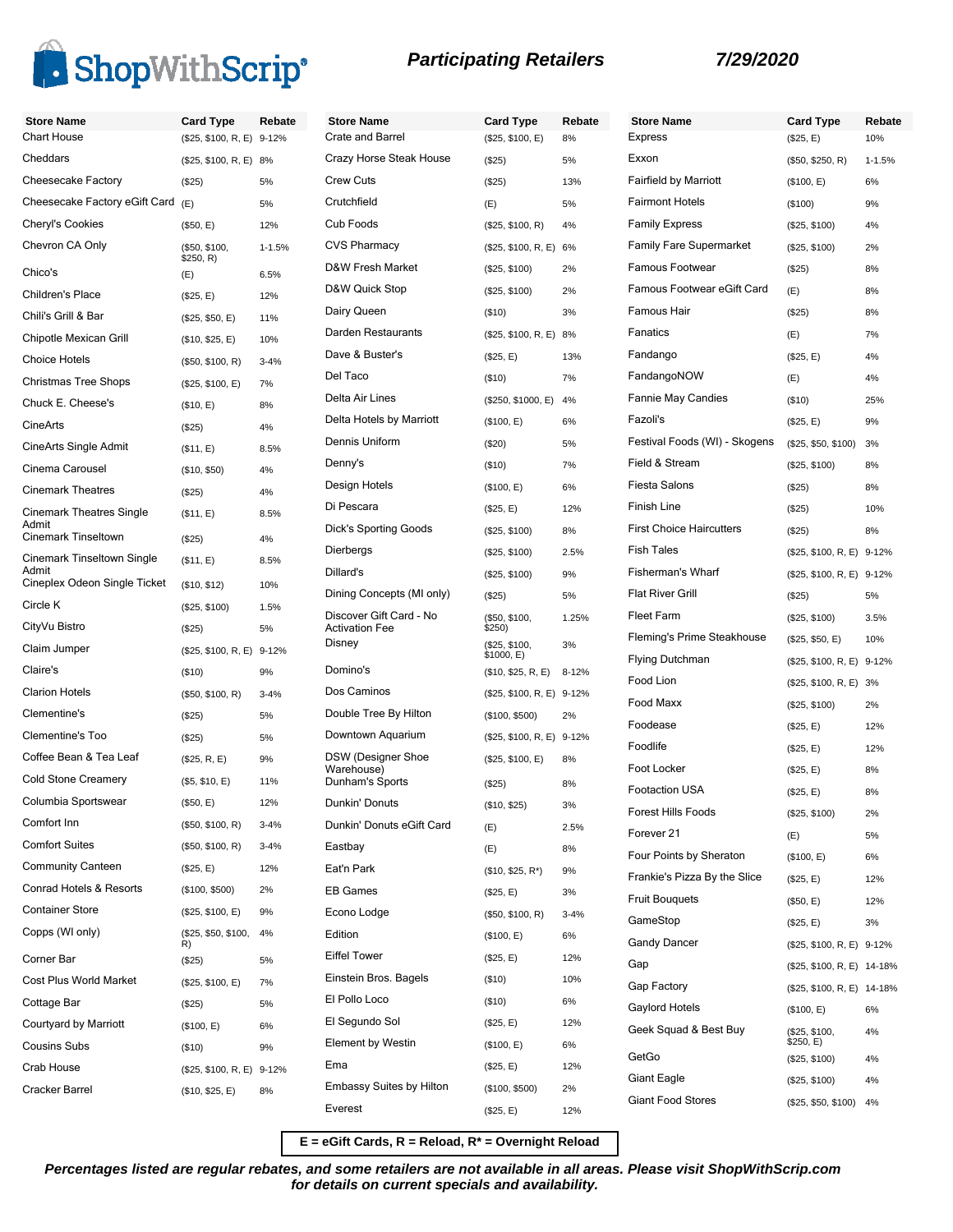

|  |  | <b>Participating Retailers</b> |
|--|--|--------------------------------|
|--|--|--------------------------------|

| <b>Store Name</b><br><b>Chart House</b> | <b>Card Type</b><br>(\$25, \$100, R, E) 9-12% | Rebate     | <b>Store Name</b><br>Crate and Barrel            | <b>Card Type</b><br>(\$25, \$100, E) | Rebate<br>8% |
|-----------------------------------------|-----------------------------------------------|------------|--------------------------------------------------|--------------------------------------|--------------|
| Cheddars                                |                                               |            | Crazy Horse Steak House                          |                                      |              |
| Cheesecake Factory                      | (\$25, \$100, R, E) 8%                        |            | <b>Crew Cuts</b>                                 | (\$25)                               | 5%           |
| Cheesecake Factory eGift Card (E)       | (\$25)                                        | 5%         | Crutchfield                                      | (\$25)                               | 13%          |
|                                         |                                               | 5%         | Cub Foods                                        | (E)                                  | 5%           |
| Cheryl's Cookies                        | (\$50, E)                                     | 12%        |                                                  | (\$25, \$100, R)                     | 4%           |
| Chevron CA Only                         | (\$50, \$100,<br>\$250, R)                    | $1 - 1.5%$ | <b>CVS Pharmacy</b>                              | (\$25, \$100, R, E) 6%               |              |
| Chico's                                 | (E)                                           | 6.5%       | D&W Fresh Market                                 | (\$25, \$100)                        | 2%           |
| Children's Place                        | (\$25, E)                                     | 12%        | D&W Quick Stop                                   | (\$25, \$100)                        | 2%           |
| Chili's Grill & Bar                     | (\$25, \$50, E)                               | 11%        | Dairy Queen                                      | (\$10)                               | 3%           |
| Chipotle Mexican Grill                  | (\$10, \$25, E)                               | 10%        | Darden Restaurants                               | (\$25, \$100, R, E) 8%               |              |
| <b>Choice Hotels</b>                    | (\$50, \$100, R)                              | $3 - 4%$   | Dave & Buster's                                  | (\$25, E)                            | 13%          |
| <b>Christmas Tree Shops</b>             | (\$25, \$100, E)                              | 7%         | Del Taco                                         | (\$10)                               | 7%           |
| Chuck E. Cheese's                       | (\$10, E)                                     | 8%         | Delta Air Lines                                  | (\$250, \$1000, E)                   | 4%           |
| <b>CineArts</b>                         | (\$25)                                        | 4%         | Delta Hotels by Marriott                         | (\$100, E)                           | 6%           |
| CineArts Single Admit                   | (S11, E)                                      | 8.5%       | Dennis Uniform                                   | (\$20)                               | 5%           |
| Cinema Carousel                         | (\$10, \$50)                                  | 4%         | Denny's                                          | (\$10)                               | 7%           |
| <b>Cinemark Theatres</b>                | (\$25)                                        | 4%         | Design Hotels                                    | (\$100, E)                           | 6%           |
| <b>Cinemark Theatres Single</b>         | (\$11, E)                                     | 8.5%       | Di Pescara                                       | (\$25, E)                            | 12%          |
| Admit<br>Cinemark Tinseltown            | (\$25)                                        | 4%         | Dick's Sporting Goods                            | (\$25, \$100)                        | 8%           |
| Cinemark Tinseltown Single              | (\$11, E)                                     | 8.5%       | Dierbergs                                        | (\$25, \$100)                        | 2.5%         |
| Admit<br>Cineplex Odeon Single Ticket   |                                               |            | Dillard's                                        | (\$25, \$100)                        | 9%           |
| Circle K                                | (\$10, \$12)                                  | 10%        | Dining Concepts (MI only)                        | (\$25)                               | 5%           |
| CityVu Bistro                           | (\$25, \$100)                                 | 1.5%       | Discover Gift Card - No<br><b>Activation Fee</b> | (\$50, \$100,                        | 1.25%        |
| Claim Jumper                            | (\$25)                                        | 5%         | Disney                                           | \$250)<br>(\$25, \$100,              | 3%           |
| Claire's                                | (\$25, \$100, R, E) 9-12%                     |            | Domino's                                         | \$1000, E)                           |              |
| <b>Clarion Hotels</b>                   | (\$10)                                        | 9%         | Dos Caminos                                      | (\$10, \$25, R, E)                   | $8 - 12%$    |
|                                         | (\$50, \$100, R)                              | $3 - 4%$   |                                                  | (\$25, \$100, R, E) 9-12%            |              |
| Clementine's                            | (\$25)                                        | 5%         | Double Tree By Hilton                            | (\$100, \$500)                       | 2%           |
| Clementine's Too                        | (\$25)                                        | 5%         | Downtown Aquarium                                | (\$25, \$100, R, E) 9-12%            |              |
| Coffee Bean & Tea Leaf                  | (\$25, R, E)                                  | 9%         | DSW (Designer Shoe<br>Warehouse)                 | (\$25, \$100, E)                     | 8%           |
| <b>Cold Stone Creamery</b>              | (\$5, \$10, E)                                | 11%        | Dunham's Sports                                  | (\$25)                               | 8%           |
| Columbia Sportswear                     | (\$50, E)                                     | 12%        | Dunkin' Donuts                                   | (\$10, \$25)                         | 3%           |
| Comfort Inn                             | (\$50, \$100, R)                              | $3 - 4%$   | Dunkin' Donuts eGift Card                        | (E)                                  | 2.5%         |
| <b>Comfort Suites</b>                   | (\$50, \$100, R)                              | $3 - 4%$   | Eastbay                                          | (E)                                  | 8%           |
| <b>Community Canteen</b>                | (\$25, E)                                     | 12%        | Eat'n Park                                       | $($10, $25, R^*)$                    | 9%           |
| Conrad Hotels & Resorts                 | (\$100, \$500)                                | 2%         | <b>EB Games</b>                                  | (\$25, E)                            | 3%           |
| <b>Container Store</b>                  | (\$25, \$100, E)                              | 9%         | Econo Lodge                                      | (\$50, \$100, R)                     | $3 - 4%$     |
| Copps (WI only)                         | (\$25, \$50, \$100,<br>R)                     | 4%         | Edition                                          | (\$100, E)                           | 6%           |
| Corner Bar                              | (\$25)                                        | 5%         | <b>Eiffel Tower</b>                              | (\$25, E)                            | 12%          |
| Cost Plus World Market                  | (\$25, \$100, E)                              | 7%         | Einstein Bros. Bagels                            | (\$10)                               | 10%          |
| Cottage Bar                             | (\$25)                                        | 5%         | El Pollo Loco                                    | (\$10)                               | 6%           |
| Courtyard by Marriott                   | (\$100, E)                                    | 6%         | El Segundo Sol                                   | (\$25, E)                            | 12%          |
| <b>Cousins Subs</b>                     | (\$10)                                        | 9%         | <b>Element by Westin</b>                         | (\$100, E)                           | 6%           |
| Crab House                              | (\$25, \$100, R, E) 9-12%                     |            | Ema                                              | (\$25, E)                            | 12%          |
| Cracker Barrel                          | (\$10, \$25, E)                               | 8%         | <b>Embassy Suites by Hilton</b>                  | (\$100, \$500)                       | 2%           |
|                                         |                                               |            | Everest                                          | (\$25, E)                            | 12%          |
|                                         |                                               |            |                                                  |                                      |              |

| <b>Store Name</b>               | <b>Card Type</b>           | Rebate     |
|---------------------------------|----------------------------|------------|
| <b>Express</b>                  | (\$25, E)                  | 10%        |
| Exxon                           | (\$50, \$250, R)           | $1 - 1.5%$ |
| Fairfield by Marriott           | (\$100, E)                 | 6%         |
| <b>Fairmont Hotels</b>          | (\$100)                    | 9%         |
| <b>Family Express</b>           | (\$25, \$100)              | 4%         |
| <b>Family Fare Supermarket</b>  | (\$25, \$100)              | 2%         |
| Famous Footwear                 | (\$25)                     | 8%         |
| Famous Footwear eGift Card      | (E)                        | 8%         |
| Famous Hair                     | (\$25)                     | 8%         |
| Fanatics                        | (E)                        | 7%         |
| Fandango                        | (\$25, E)                  | 4%         |
| FandangoNOW                     | (E)                        | 4%         |
| Fannie May Candies              | (\$10)                     | 25%        |
| Fazoli's                        | (\$25, E)                  | 9%         |
| Festival Foods (WI) - Skogens   | (\$25, \$50, \$100)        | 3%         |
| Field & Stream                  | (\$25, \$100)              | 8%         |
| <b>Fiesta Salons</b>            | (\$25)                     | 8%         |
| Finish Line                     | (\$25)                     | 10%        |
| <b>First Choice Haircutters</b> | (\$25)                     | 8%         |
| <b>Fish Tales</b>               | (\$25, \$100, R, E) 9-12%  |            |
| <b>Fisherman's Wharf</b>        | (\$25, \$100, R, E) 9-12%  |            |
| <b>Flat River Grill</b>         | (\$25)                     | 5%         |
| <b>Fleet Farm</b>               | (\$25, \$100)              | 3.5%       |
| Fleming's Prime Steakhouse      | (\$25, \$50, E)            | 10%        |
| <b>Flying Dutchman</b>          | (\$25, \$100, R, E) 9-12%  |            |
| Food Lion                       | (\$25, \$100, R, E) 3%     |            |
| Food Maxx                       | (\$25, \$100)              | 2%         |
| Foodease                        | (\$25, E)                  | 12%        |
| Foodlife                        | (\$25, E)                  | 12%        |
| Foot Locker                     | (\$25, E)                  | 8%         |
| <b>Footaction USA</b>           | (\$25, E)                  | 8%         |
| Forest Hills Foods              | (\$25, \$100)              | 2%         |
| Forever <sub>21</sub>           | (E)                        | 5%         |
| Four Points by Sheraton         | (\$100, E)                 | 6%         |
| Frankie's Pizza By the Slice    | (\$25, E)                  | 12%        |
| <b>Fruit Bouguets</b>           | (\$50, E)                  | 12%        |
| GameStop                        | (\$25, E)                  | 3%         |
| <b>Gandy Dancer</b>             | (\$25, \$100, R, E) 9-12%  |            |
| Gap                             | (\$25, \$100, R, E) 14-18% |            |
| Gap Factory                     | (\$25, \$100, R, E) 14-18% |            |
| Gaylord Hotels                  | (\$100, E)                 | 6%         |
| Geek Squad & Best Buy           | (\$25, \$100,<br>\$250, E) | 4%         |
| GetGo                           | (\$25, \$100)              | 4%         |
| Giant Eagle                     | (\$25, \$100)              | 4%         |
| <b>Giant Food Stores</b>        | (\$25, \$50, \$100)        | 4%         |

**E = eGift Cards, R = Reload, R\* = Overnight Reload**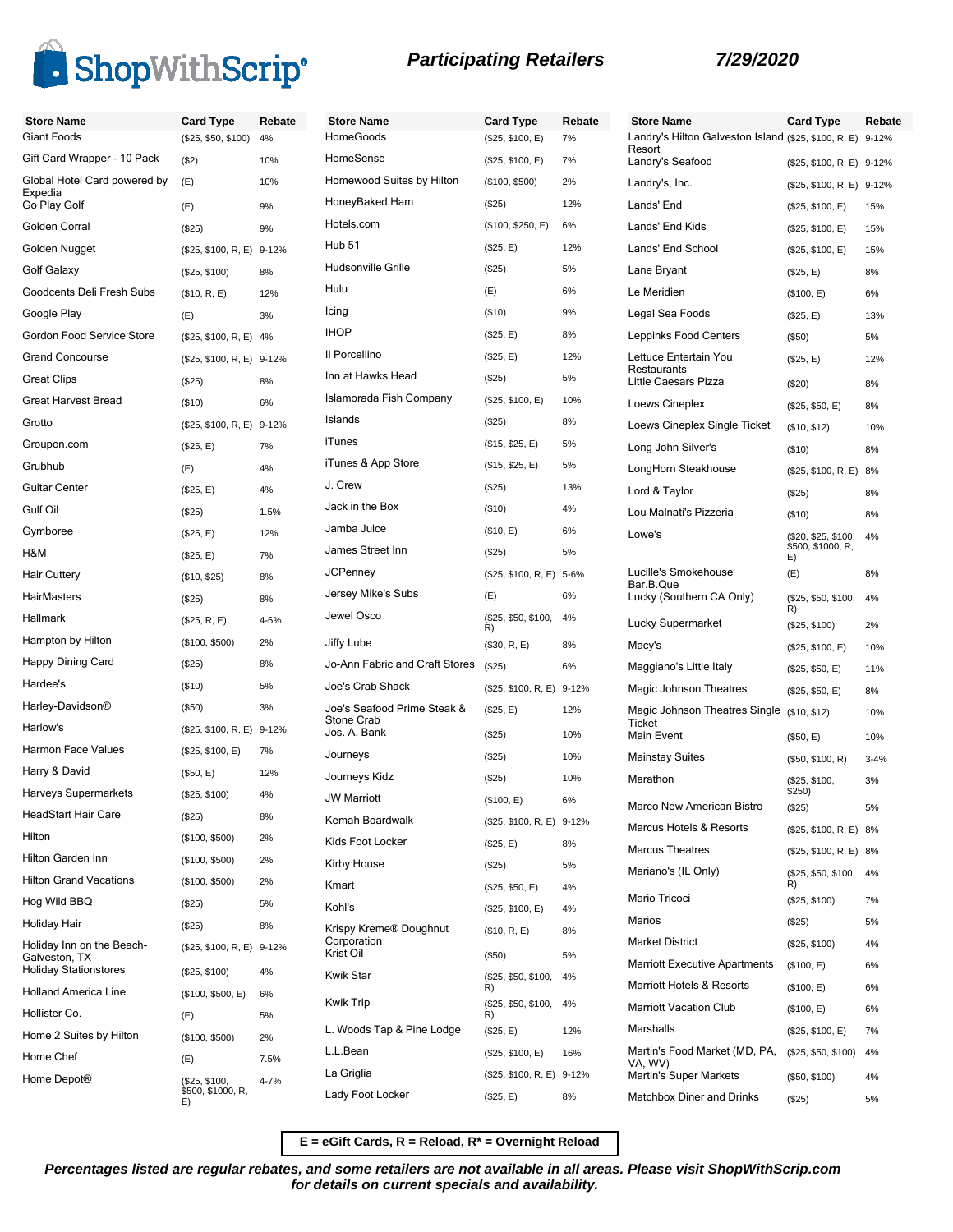

| <b>Store Name</b>                          | <b>Card Type</b>          | Rebate | Store              |
|--------------------------------------------|---------------------------|--------|--------------------|
| <b>Giant Foods</b>                         | (\$25, \$50, \$100)       | 4%     | Home <sup>(</sup>  |
| Gift Card Wrapper - 10 Pack                | (\$2)                     | 10%    | Home <sub>S</sub>  |
| Global Hotel Card powered by<br>Expedia    | (E)                       | 10%    | Homev              |
| Go Play Golf                               | (E)                       | 9%     | Honey              |
| Golden Corral                              | (\$25)                    | 9%     | Hotels.            |
| Golden Nugget                              | (\$25, \$100, R, E) 9-12% |        | Hub 51             |
| Golf Galaxy                                | (\$25, \$100)             | 8%     | Hudso              |
| Goodcents Deli Fresh Subs                  | (\$10, R, E)              | 12%    | Hulu               |
| Google Play                                | (E)                       | 3%     | Icing              |
| Gordon Food Service Store                  | (\$25, \$100, R, E) 4%    |        | <b>IHOP</b>        |
| <b>Grand Concourse</b>                     | (\$25, \$100, R, E) 9-12% |        | II Porce           |
| <b>Great Clips</b>                         | (S25)                     | 8%     | Inn at l           |
| Great Harvest Bread                        | (\$10)                    | 6%     | Islamo             |
| Grotto                                     | (\$25, \$100, R, E) 9-12% |        | Islands            |
| Groupon.com                                | (\$25, E)                 | 7%     | iTunes             |
| Grubhub                                    | (E)                       | 4%     | iTunes             |
| <b>Guitar Center</b>                       | (\$25, E)                 | 4%     | J. Crev            |
| Gulf Oil                                   | (S25)                     | 1.5%   | Jack in            |
| Gymboree                                   | (\$25, E)                 | 12%    | Jamba              |
| H&M                                        | (\$25, E)                 | 7%     | James              |
| <b>Hair Cuttery</b>                        | (\$10, \$25)              | 8%     | JCPen              |
| <b>HairMasters</b>                         | (\$25)                    | 8%     | Jersey             |
| Hallmark                                   | (\$25, R, E)              | 4-6%   | Jewel <sup>(</sup> |
| Hampton by Hilton                          | (\$100, \$500)            | 2%     | Jiffy Lu           |
| Happy Dining Card                          | (\$25)                    | 8%     | Jo-Anr             |
| Hardee's                                   | ( \$10)                   | 5%     | Joe's C            |
| Harley-Davidson®                           | (\$50)                    | 3%     | Joe's S            |
| Harlow's                                   | (\$25, \$100, R, E) 9-12% |        | Stone<br>Jos. A.   |
| Harmon Face Values                         | (\$25, \$100, E)          | 7%     | Journe             |
| Harry & David                              | (\$50, E)                 | 12%    | Journe             |
| Harveys Supermarkets                       | (\$25, \$100)             | 4%     | JW Ma              |
| HeadStart Hair Care                        | (\$25)                    | 8%     | Kemar              |
| Hilton                                     | (\$100, \$500)            | 2%     | Kids F             |
| Hilton Garden Inn                          | (\$100, \$500)            | 2%     | Kirby F            |
| <b>Hilton Grand Vacations</b>              | (\$100, \$500)            | 2%     | Kmart              |
| Hog Wild BBQ                               | $(\$25)$                  | 5%     | Kohl's             |
| Holiday Hair                               | (\$25)                    | 8%     | Krispy             |
| Holiday Inn on the Beach-<br>Galveston, TX | (\$25, \$100, R, E) 9-12% |        | Corpor<br>Krist O  |
| <b>Holiday Stationstores</b>               | (\$25, \$100)             | 4%     | Kwik S             |
| <b>Holland America Line</b>                | (\$100, \$500, E)         | 6%     | Kwik T             |
| Hollister Co.<br>2 Cuites by Hilt          | (E)                       | 5%     | L. Woc             |
|                                            |                           |        |                    |

Home 2 Suites by Hilton (\$100, \$500) 2% Home Chef (E) 7.5%

\$500, \$1000, R, E)

4-7%

Home Depot®

### **Participating Retailers 7/29/2020**

| Store Name                                         | <b>Card Type</b>          | Rebate    |
|----------------------------------------------------|---------------------------|-----------|
| HomeGoods                                          | (\$25, \$100, E)          | 7%        |
| HomeSense                                          | (\$25, \$100, E)          | 7%        |
| Homewood Suites by Hilton                          | (\$100, \$500)            | 2%        |
| HoneyBaked Ham                                     | (\$25)                    | 12%       |
| Hotels.com                                         | (\$100, \$250, E)         | 6%        |
| <b>Hub 51</b>                                      | (\$25, E)                 | 12%       |
| <b>Hudsonville Grille</b>                          | (S25)                     | 5%        |
| Hulu                                               | (E)                       | 6%        |
| Icing                                              | (\$10)                    | 9%        |
| <b>IHOP</b>                                        | (\$25, E)                 | 8%        |
| Il Porcellino                                      | (\$25, E)                 | 12%       |
| Inn at Hawks Head                                  | (S25)                     | 5%        |
| Islamorada Fish Company                            | (\$25, \$100, E)          | 10%       |
| Islands                                            | (S25)                     | 8%        |
| iTunes                                             | (\$15, \$25, E)           | 5%        |
| iTunes & App Store                                 | (\$15, \$25, E)           | 5%        |
| J. Crew                                            | (S25)                     | 13%       |
| Jack in the Box                                    | $($ \$10)                 | 4%        |
| Jamba Juice                                        | (\$10, E)                 | 6%        |
| James Street Inn                                   | (S25)                     | 5%        |
| <b>JCPenney</b>                                    | (\$25, \$100, R, E)       | $5 - 6%$  |
| Jersey Mike's Subs                                 | (E)                       | 6%        |
| Jewel Osco                                         | (\$25, \$50, \$100,       | 4%        |
| Jiffy Lube                                         | R)<br>(\$30, R, E)        | 8%        |
| Jo-Ann Fabric and Craft Stores                     | (S25)                     | 6%        |
| Joe's Crab Shack                                   | (\$25, \$100, R, E)       | $9 - 12%$ |
| Joe's Seafood Prime Steak &<br>Stone Crab          | (\$25, E)                 | 12%       |
| Jos. A. Bank                                       | (S25)                     | 10%       |
| Journeys                                           | (\$25)                    | 10%       |
| Journeys Kidz                                      | (S25)                     | 10%       |
| <b>JW Marriott</b>                                 | (\$100, E)                | 6%        |
| Kemah Boardwalk                                    | (\$25, \$100, R, E) 9-12% |           |
| Kids Foot Locker                                   | (\$25, E)                 | 8%        |
| Kirby House                                        | (\$25)                    | 5%        |
| Kmart                                              | (\$25, \$50, E)           | 4%        |
| Kohl's                                             | (\$25, \$100, E)          | 4%        |
| Krispy Kreme® Doughnut<br>Corporation<br>Krist Oil | (\$10, R, E)<br>(\$50)    | 8%<br>5%  |
| Kwik Star                                          | (\$25, \$50, \$100,       | 4%        |
| <b>Kwik Trip</b>                                   | R)<br>(\$25, \$50, \$100, | 4%        |
| L. Woods Tap & Pine Lodge                          | R)<br>(\$25, E)           | 12%       |
| L.L.Bean                                           | (\$25, \$100, E)          | 16%       |
| La Griglia                                         | (\$25, \$100, R, E)       | $9 - 12%$ |
| Lady Foot Locker                                   | (\$25, E)                 | 8%        |

| <b>Store Name</b>                                                  | <b>Card Type</b>                               | Rebate     |
|--------------------------------------------------------------------|------------------------------------------------|------------|
| Landry's Hilton Galveston Island (\$25, \$100, R, E)<br>Resort     |                                                | $9 - 12%$  |
| Landry's Seafood                                                   | (\$25, \$100, R, E)                            | $9 - 12%$  |
| Landry's, Inc.                                                     | (\$25, \$100, R, E)                            | $9 - 12%$  |
| Lands' End                                                         | (\$25, \$100, E)                               | 15%        |
| Lands' End Kids                                                    | (\$25, \$100, E)                               | 15%        |
| Lands' End School                                                  | (\$25, \$100, E)                               | 15%        |
| Lane Bryant                                                        | (\$25, E)                                      | 8%         |
| Le Meridien                                                        | (\$100, E)                                     | 6%         |
| Legal Sea Foods                                                    | (\$25, E)                                      | 13%        |
| Leppinks Food Centers                                              | (\$50)                                         | 5%         |
| Lettuce Entertain You<br>Restaurants                               | (\$25, E)                                      | 12%        |
| Little Caesars Pizza                                               | (\$20)                                         | 8%         |
| Loews Cineplex                                                     | (\$25, \$50, E)                                | 8%         |
| Loews Cineplex Single Ticket                                       | (\$10, \$12)                                   | 10%        |
| Long John Silver's                                                 | (\$10)                                         | 8%         |
| LongHorn Steakhouse                                                | (\$25, \$100, R, E)                            | 8%         |
| Lord & Taylor                                                      | (\$25)                                         | 8%         |
| Lou Malnati's Pizzeria                                             | (\$10)                                         | 8%         |
| Lowe's                                                             | (\$20, \$25, \$100,<br>\$500, \$1000, R,<br>E) | 4%         |
| Lucille's Smokehouse                                               | (E)                                            | 8%         |
| Bar.B.Que<br>Lucky (Southern CA Only)                              | (\$25, \$50, \$100,<br>R)                      | 4%         |
| Lucky Supermarket                                                  | (\$25, \$100)                                  | 2%         |
| Macy's                                                             | (\$25, \$100, E)                               | 10%        |
| Maggiano's Little Italy                                            | (\$25, \$50, E)                                | 11%        |
| Magic Johnson Theatres                                             | (\$25, \$50, E)                                | 8%         |
| Magic Johnson Theatres Single (\$10, \$12)<br>Ticket<br>Main Event | (\$50, E)                                      | 10%<br>10% |
| <b>Mainstay Suites</b>                                             |                                                |            |
| Marathon                                                           | (\$50, \$100, R)                               | $3 - 4%$   |
|                                                                    | (\$25, \$100,<br>\$250)                        | 3%         |
| Marco New American Bistro                                          | (\$25)                                         | 5%         |
| Marcus Hotels & Resorts                                            | (\$25, \$100, R, E)                            | 8%         |
| <b>Marcus Theatres</b>                                             | (\$25, \$100, R, E)                            | 8%         |
| Mariano's (IL Only)<br>Mario Tricoci                               | (\$25, \$50, \$100,<br>R)                      | 4%         |
| Marios                                                             | (\$25, \$100)                                  | 7%         |
|                                                                    | (\$25)                                         | 5%         |
| <b>Market District</b>                                             | (\$25, \$100)                                  | 4%         |
| <b>Marriott Executive Apartments</b>                               | (\$100, E)                                     | 6%         |
| Marriott Hotels & Resorts                                          | (\$100, E)                                     | 6%         |
| <b>Marriott Vacation Club</b>                                      | (\$100, E)                                     | 6%         |
| Marshalls                                                          | (\$25, \$100, E)                               | 7%         |
| Martin's Food Market (MD, PA,<br>VA, WV)                           | (\$25, \$50, \$100)                            | 4%         |
| Martin's Super Markets                                             | (\$50, \$100)                                  | 4%         |
| Matchbox Diner and Drinks                                          | (S25)                                          | 5%         |

**E = eGift Cards, R = Reload, R\* = Overnight Reload**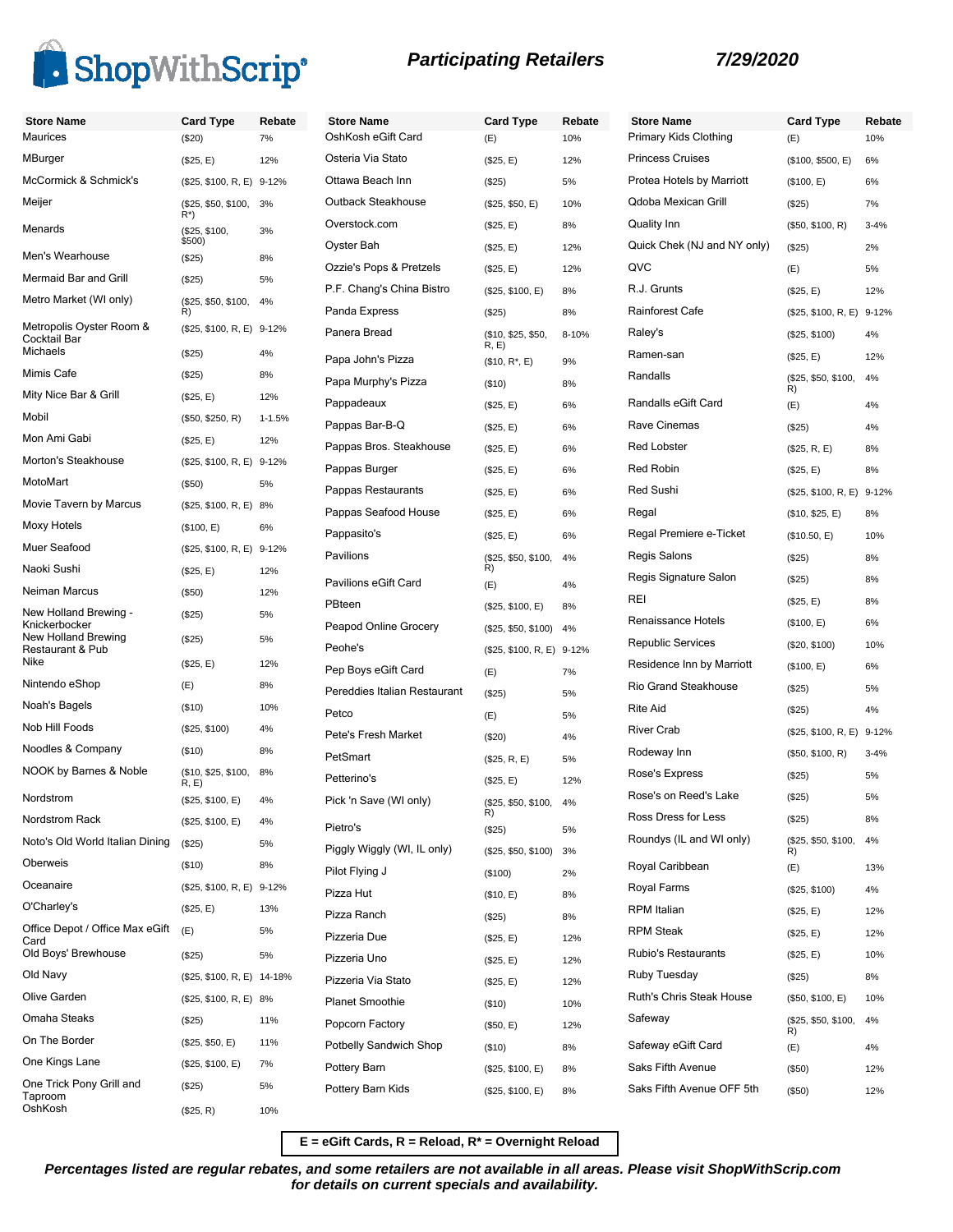

| <b>Store Name</b>                       | <b>Card Type</b>                    | Rebate     | <b>Store Name</b>            | <b>Card Type</b>           | Rebate |
|-----------------------------------------|-------------------------------------|------------|------------------------------|----------------------------|--------|
| <b>Maurices</b>                         | (\$20)                              | 7%         | OshKosh eGift Card           | (E)                        | 10%    |
| MBurger                                 | (\$25, E)                           | 12%        | Osteria Via Stato            | (\$25, E)                  | 12%    |
| McCormick & Schmick's                   | (\$25, \$100, R, E) 9-12%           |            | Ottawa Beach Inn             | (\$25)                     | 5%     |
| Meijer                                  | (\$25, \$50, \$100,<br>$R^*$        | 3%         | Outback Steakhouse           | (\$25, \$50, E)            | 10%    |
| Menards                                 | (\$25, \$100,                       | 3%         | Overstock.com                | (\$25, E)                  | 8%     |
| Men's Wearhouse                         | \$500)<br>(\$25)                    | 8%         | Oyster Bah                   | (\$25, E)                  | 12%    |
| Mermaid Bar and Grill                   | (\$25)                              | 5%         | Ozzie's Pops & Pretzels      | (\$25, E)                  | 12%    |
| Metro Market (WI only)                  | (\$25, \$50, \$100,                 | 4%         | P.F. Chang's China Bistro    | (\$25, \$100, E)           | 8%     |
| Metropolis Oyster Room &                | R)                                  |            | Panda Express                | (\$25)                     | 8%     |
| Cocktail Bar<br><b>Michaels</b>         | (\$25, \$100, R, E) 9-12%<br>(\$25) | 4%         | Panera Bread                 | (\$10, \$25, \$50,<br>R, E | 8-10%  |
| Mimis Cafe                              | (\$25)                              | 8%         | Papa John's Pizza            | $($10, R^*, E)$            | 9%     |
| Mity Nice Bar & Grill                   | (\$25, E)                           | 12%        | Papa Murphy's Pizza          | $($ \$10)                  | 8%     |
| Mobil                                   | (\$50, \$250, R)                    | $1 - 1.5%$ | Pappadeaux                   | (\$25, E)                  | 6%     |
| Mon Ami Gabi                            | (\$25, E)                           | 12%        | Pappas Bar-B-Q               | (\$25, E)                  | 6%     |
| Morton's Steakhouse                     | (\$25, \$100, R, E) 9-12%           |            | Pappas Bros. Steakhouse      | (\$25, E)                  | 6%     |
| MotoMart                                | (\$50)                              | 5%         | Pappas Burger                | (\$25, E)                  | 6%     |
| Movie Tavern by Marcus                  | (\$25, \$100, R, E) 8%              |            | Pappas Restaurants           | (\$25, E)                  | 6%     |
| Moxy Hotels                             | (\$100, E)                          | 6%         | Pappas Seafood House         | (\$25, E)                  | 6%     |
| Muer Seafood                            | (\$25, \$100, R, E) 9-12%           |            | Pappasito's                  | (\$25, E)                  | 6%     |
| Naoki Sushi                             | (\$25, E)                           | 12%        | Pavilions                    | (\$25, \$50, \$100,<br>R)  | 4%     |
| Neiman Marcus                           | (\$50)                              | 12%        | Pavilions eGift Card         | (E)                        | 4%     |
| New Holland Brewing -                   | (\$25)                              | 5%         | PBteen                       | (\$25, \$100, E)           | 8%     |
| Knickerbocker<br>New Holland Brewing    |                                     |            | Peapod Online Grocery        | (\$25, \$50, \$100)        | 4%     |
| Restaurant & Pub                        | (\$25)                              | 5%         | Peohe's                      | (\$25, \$100, R, E) 9-12%  |        |
| Nike                                    | (\$25, E)                           | 12%        | Pep Boys eGift Card          | (E)                        | 7%     |
| Nintendo eShop                          | (E)                                 | 8%         | Pereddies Italian Restaurant | (\$25)                     | 5%     |
| Noah's Bagels                           | (\$10)                              | 10%        | Petco                        | (E)                        | 5%     |
| Nob Hill Foods                          | (\$25, \$100)                       | 4%         | Pete's Fresh Market          | (\$20)                     | 4%     |
| Noodles & Company                       | (\$10)                              | 8%         | PetSmart                     | (\$25, R, E)               | 5%     |
| NOOK by Barnes & Noble                  | (\$10, \$25, \$100,<br>R, E         | 8%         | Petterino's                  | (\$25, E)                  | 12%    |
| Nordstrom                               | (\$25, \$100, E)                    | 4%         | Pick 'n Save (WI only)       | (\$25, \$50, \$100,        | 4%     |
| Nordstrom Rack                          | (\$25, \$100, E)                    | 4%         | Pietro's                     | R)<br>(\$25)               | 5%     |
| Noto's Old World Italian Dining         | (\$25)                              | 5%         | Piggly Wiggly (WI, IL only)  | (\$25, \$50, \$100)        | 3%     |
| Oberweis                                | (\$10)                              | 8%         | Pilot Flying J               | (\$100)                    | 2%     |
| Oceanaire                               | (\$25, \$100, R, E) 9-12%           |            | Pizza Hut                    | (\$10, E)                  | 8%     |
| O'Charley's                             | (\$25, E)                           | 13%        | Pizza Ranch                  | (\$25)                     | 8%     |
| Office Depot / Office Max eGift<br>Card | (E)                                 | 5%         | Pizzeria Due                 | (\$25, E)                  | 12%    |
| Old Boys' Brewhouse                     | (\$25)                              | 5%         | Pizzeria Uno                 | (\$25, E)                  | 12%    |
| Old Navy                                | (\$25, \$100, R, E) 14-18%          |            | Pizzeria Via Stato           | (\$25, E)                  | 12%    |
| Olive Garden                            | (\$25, \$100, R, E) 8%              |            | <b>Planet Smoothie</b>       | (\$10)                     | 10%    |
| Omaha Steaks                            | (\$25)                              | 11%        | Popcorn Factory              | (\$50, E)                  | 12%    |
| On The Border                           | (\$25, \$50, E)                     | 11%        | Potbelly Sandwich Shop       | (\$10)                     | 8%     |
| One Kings Lane                          | (\$25, \$100, E)                    | 7%         | Pottery Barn                 | (\$25, \$100, E)           | 8%     |
| One Trick Pony Grill and                | (\$25)                              | 5%         | Pottery Barn Kids            | (\$25, \$100, E)           | 8%     |
| Taproom<br>OshKosh                      | (\$25, R)                           | 10%        |                              |                            |        |
|                                         |                                     |            |                              |                            |        |

| <b>Store Name</b>           | <b>Card Type</b>          | Rebate   |
|-----------------------------|---------------------------|----------|
| Primary Kids Clothing       | (E)                       | 10%      |
| <b>Princess Cruises</b>     | (\$100, \$500, E)         | 6%       |
| Protea Hotels by Marriott   | (\$100, E)                | 6%       |
| Qdoba Mexican Grill         | (\$25)                    | 7%       |
| Quality Inn                 | (\$50, \$100, R)          | $3 - 4%$ |
| Quick Chek (NJ and NY only) | (\$25)                    | 2%       |
| QVC                         | (E)                       | 5%       |
| R.J. Grunts                 | (\$25, E)                 | 12%      |
| Rainforest Cafe             | (\$25, \$100, R, E) 9-12% |          |
| Raley's                     | (\$25, \$100)             | 4%       |
| Ramen-san                   | (\$25, E)                 | 12%      |
| Randalls                    | (\$25, \$50, \$100,<br>R) | 4%       |
| Randalls eGift Card         | (E)                       | 4%       |
| Rave Cinemas                | (\$25)                    | 4%       |
| <b>Red Lobster</b>          | (\$25, R, E)              | 8%       |
| <b>Red Robin</b>            | (\$25, E)                 | 8%       |
| Red Sushi                   | (\$25, \$100, R, E) 9-12% |          |
| Regal                       | (\$10, \$25, E)           | 8%       |
| Regal Premiere e-Ticket     | (\$10.50, E)              | 10%      |
| Regis Salons                | (\$25)                    | 8%       |
| Regis Signature Salon       | (\$25)                    | 8%       |
| REI                         | (\$25, E)                 | 8%       |
| Renaissance Hotels          | (\$100, E)                | 6%       |
| <b>Republic Services</b>    | (\$20, \$100)             | 10%      |
| Residence Inn by Marriott   | (\$100, E)                | 6%       |
| <b>Rio Grand Steakhouse</b> | (\$25)                    | 5%       |
| <b>Rite Aid</b>             | (\$25)                    | 4%       |
| River Crab                  | (\$25, \$100, R, E) 9-12% |          |
| Rodeway Inn                 | (\$50, \$100, R)          | $3 - 4%$ |
| Rose's Express              | (\$25)                    | 5%       |
| Rose's on Reed's Lake       | (\$25)                    | 5%       |
| Ross Dress for Less         | $(\$25)$                  | 8%       |
| Roundys (IL and WI only)    | (\$25, \$50, \$100,<br>R) | 4%       |
| Royal Caribbean             | (E)                       | 13%      |
| Royal Farms                 | (\$25, \$100)             | 4%       |
| RPM Italian                 | (\$25, E)                 | 12%      |
| <b>RPM Steak</b>            | (\$25, E)                 | 12%      |
| Rubio's Restaurants         | (\$25, E)                 | 10%      |
| Ruby Tuesday                | (\$25)                    | 8%       |
| Ruth's Chris Steak House    | (\$50, \$100, E)          | 10%      |
| Safeway                     | (\$25, \$50, \$100,<br>R) | 4%       |
| Safeway eGift Card          | (E)                       | 4%       |
| Saks Fifth Avenue           | $(\$50)$                  | 12%      |
|                             | (\$50)                    | 12%      |
| Saks Fifth Avenue OFF 5th   |                           |          |

**E = eGift Cards, R = Reload, R\* = Overnight Reload**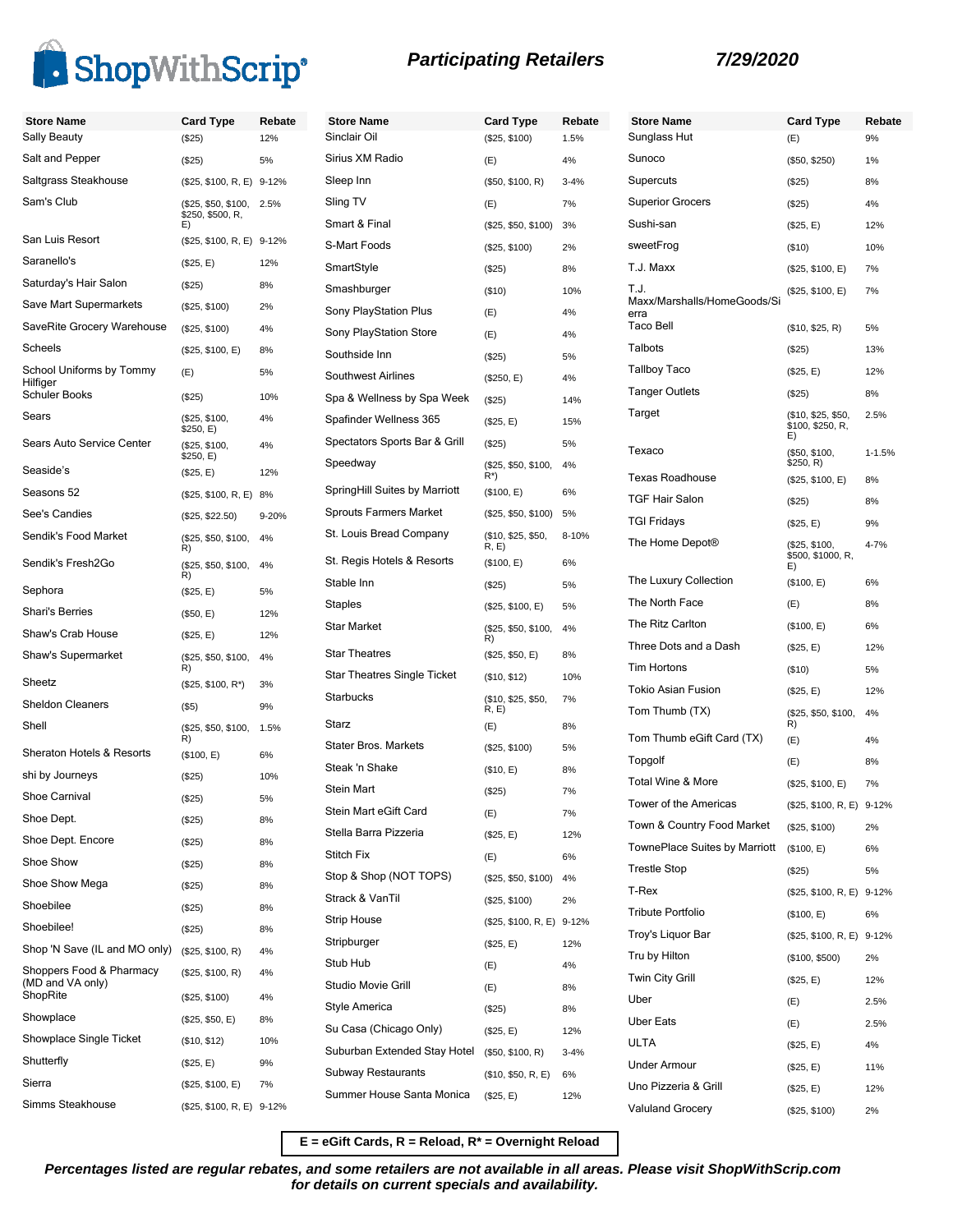

| <b>Store Name</b>                            | <b>Card Type</b>           | Rebate | <b>Store Name</b>                  | <b>Card Type</b>                  | Rebate    | <b>Store Name</b>                   | <b>Card Type</b>                       | Rebate     |
|----------------------------------------------|----------------------------|--------|------------------------------------|-----------------------------------|-----------|-------------------------------------|----------------------------------------|------------|
| Sally Beauty                                 | (\$25)                     | 12%    | Sinclair Oil                       | (\$25, \$100)                     | 1.5%      | Sunglass Hut                        | (E)                                    | 9%         |
| Salt and Pepper                              | (\$25)                     | 5%     | Sirius XM Radio                    | (E)                               | 4%        | Sunoco                              | (\$50, \$250)                          | 1%         |
| Saltgrass Steakhouse                         | (\$25, \$100, R, E) 9-12%  |        | Sleep Inn                          | (\$50, \$100, R)                  | $3 - 4%$  | Supercuts                           | (\$25)                                 | 8%         |
| Sam's Club                                   | (\$25, \$50, \$100,        | 2.5%   | Sling TV                           | (E)                               | 7%        | <b>Superior Grocers</b>             | (\$25)                                 | 4%         |
|                                              | \$250, \$500, R,<br>E)     |        | Smart & Final                      | (\$25, \$50, \$100)               | 3%        | Sushi-san                           | (\$25, E)                              | 12%        |
| San Luis Resort                              | (\$25, \$100, R, E) 9-12%  |        | S-Mart Foods                       | (\$25, \$100)                     | 2%        | sweetFrog                           | (\$10)                                 | 10%        |
| Saranello's                                  | (\$25, E)                  | 12%    | SmartStyle                         | (\$25)                            | 8%        | T.J. Maxx                           | (\$25, \$100, E)                       | 7%         |
| Saturday's Hair Salon                        | (\$25)                     | 8%     | Smashburger                        | (\$10)                            | 10%       | T.J.                                | (\$25, \$100, E)                       | 7%         |
| Save Mart Supermarkets                       | (\$25, \$100)              | 2%     | Sony PlayStation Plus              | (E)                               | 4%        | Maxx/Marshalls/HomeGoods/Si<br>erra |                                        |            |
| SaveRite Grocery Warehouse                   | (\$25, \$100)              | 4%     | Sony PlayStation Store             | (E)                               | 4%        | <b>Taco Bell</b>                    | (\$10, \$25, R)                        | 5%         |
| Scheels                                      | (\$25, \$100, E)           | 8%     | Southside Inn                      | (\$25)                            | 5%        | Talbots                             | (\$25)                                 | 13%        |
| School Uniforms by Tommy                     | (E)                        | 5%     | <b>Southwest Airlines</b>          | (\$250, E)                        | 4%        | <b>Tallboy Taco</b>                 | (\$25, E)                              | 12%        |
| Hilfiger<br><b>Schuler Books</b>             | (\$25)                     | 10%    | Spa & Wellness by Spa Week         | (\$25)                            | 14%       | <b>Tanger Outlets</b>               | (\$25)                                 | 8%         |
| Sears                                        | (\$25, \$100,<br>\$250, E) | 4%     | Spafinder Wellness 365             | (\$25, E)                         | 15%       | Target                              | (\$10, \$25, \$50,<br>\$100, \$250, R. | 2.5%       |
| Sears Auto Service Center                    | (\$25, \$100,              | 4%     | Spectators Sports Bar & Grill      | (\$25)                            | 5%        |                                     | E)                                     |            |
| Seaside's                                    | \$250, E)                  |        | Speedway                           | (\$25, \$50, \$100,               | 4%        | Texaco                              | (\$50, \$100,<br>\$250, R)             | $1 - 1.5%$ |
| Seasons 52                                   | (\$25, E)                  | 12%    | SpringHill Suites by Marriott      | $R^*$                             |           | <b>Texas Roadhouse</b>              | (\$25, \$100, E)                       | 8%         |
|                                              | (\$25, \$100, R, E)        | 8%     | <b>Sprouts Farmers Market</b>      | (\$100, E)<br>(\$25, \$50, \$100) | 6%        | <b>TGF Hair Salon</b>               | (\$25)                                 | 8%         |
| See's Candies                                | (\$25, \$22.50)            | 9-20%  | St. Louis Bread Company            |                                   | 5%        | <b>TGI Fridays</b>                  | (\$25, E)                              | 9%         |
| Sendik's Food Market                         | (\$25, \$50, \$100,<br>R)  | 4%     |                                    | (\$10, \$25, \$50,<br>R, E        | 8-10%     | The Home Depot®                     | (\$25, \$100,<br>\$500, \$1000, R,     | 4-7%       |
| Sendik's Fresh2Go                            | (\$25, \$50, \$100,<br>R)  | 4%     | St. Regis Hotels & Resorts         | (\$100, E)                        | 6%        |                                     | E)                                     |            |
| Sephora                                      | (\$25, E)                  | 5%     | Stable Inn                         | (\$25)                            | 5%        | The Luxury Collection               | (\$100, E)                             | 6%         |
| Shari's Berries                              | (\$50, E)                  | 12%    | <b>Staples</b>                     | (\$25, \$100, E)                  | 5%        | The North Face                      | (E)                                    | 8%         |
| Shaw's Crab House                            | (\$25, E)                  | 12%    | <b>Star Market</b>                 | (\$25, \$50, \$100,<br>R)         | 4%        | The Ritz Carlton                    | (\$100, E)                             | 6%         |
| Shaw's Supermarket                           | (\$25, \$50, \$100,        | 4%     | <b>Star Theatres</b>               | (\$25, \$50, E)                   | 8%        | Three Dots and a Dash               | (\$25, E)                              | 12%        |
| Sheetz                                       | R)<br>$($25, $100, R^*)$   | 3%     | <b>Star Theatres Single Ticket</b> | (\$10, \$12)                      | 10%       | <b>Tim Hortons</b>                  | (\$10)                                 | 5%         |
| <b>Sheldon Cleaners</b>                      | $($ \$5)                   | 9%     | Starbucks                          | (\$10, \$25, \$50,                | 7%        | <b>Tokio Asian Fusion</b>           | (\$25, E)                              | 12%        |
| Shell                                        | (\$25, \$50, \$100,        | 1.5%   | Starz                              | R, E)<br>(E)                      | 8%        | Tom Thumb (TX)                      | (\$25, \$50, \$100,<br>R)              | 4%         |
|                                              | R)                         |        | <b>Stater Bros. Markets</b>        | (\$25, \$100)                     | 5%        | Tom Thumb eGift Card (TX)           | (E)                                    | 4%         |
| <b>Sheraton Hotels &amp; Resorts</b>         | (\$100, E)                 | 6%     | Steak 'n Shake                     | (\$10, E)                         | 8%        | Topgolf                             | (E)                                    | 8%         |
| shi by Journeys                              | (\$25)                     | 10%    | Stein Mart                         | (\$25)                            | 7%        | <b>Total Wine &amp; More</b>        | (\$25, \$100, E)                       | 7%         |
| Shoe Carnival                                | (\$25)                     | 5%     | Stein Mart eGift Card              | (E)                               |           | Tower of the Americas               | (\$25, \$100, R, E) 9-12%              |            |
| Shoe Dept.                                   | (\$25)                     | 8%     | Stella Barra Pizzeria              | (\$25, E)                         | 7%<br>12% | Town & Country Food Market          | (\$25, \$100)                          | 2%         |
| Shoe Dept. Encore                            | (\$25)                     | 8%     | Stitch Fix                         |                                   | 6%        | TownePlace Suites by Marriott       | (\$100, E)                             | 6%         |
| Shoe Show                                    | (\$25)                     | 8%     | Stop & Shop (NOT TOPS)             | (E)                               |           | <b>Trestle Stop</b>                 | (\$25)                                 | 5%         |
| Shoe Show Mega                               | (\$25)                     | 8%     | Strack & VanTil                    | (\$25, \$50, \$100)               | 4%        | T-Rex                               | (\$25, \$100, R, E)                    | $9 - 12%$  |
| Shoebilee                                    | (\$25)                     | 8%     | <b>Strip House</b>                 | (\$25, \$100)                     | 2%        | <b>Tribute Portfolio</b>            | (\$100, E)                             | 6%         |
| Shoebilee!                                   | (\$25)                     | 8%     |                                    | (\$25, \$100, R, E) 9-12%         |           | Troy's Liquor Bar                   | (\$25, \$100, R, E) 9-12%              |            |
| Shop 'N Save (IL and MO only)                | (\$25, \$100, R)           | 4%     | Stripburger                        | (\$25, E)                         | 12%       | Tru by Hilton                       | (\$100, \$500)                         | 2%         |
| Shoppers Food & Pharmacy<br>(MD and VA only) | (\$25, \$100, R)           | 4%     | Stub Hub                           | (E)                               | 4%        | Twin City Grill                     | (\$25, E)                              | 12%        |
| ShopRite                                     | (\$25, \$100)              | 4%     | Studio Movie Grill                 | (E)                               | 8%        | Uber                                | (E)                                    | 2.5%       |
| Showplace                                    | (\$25, \$50, E)            | 8%     | Style America                      | (\$25)                            | 8%        | <b>Uber Eats</b>                    | (E)                                    | 2.5%       |
| Showplace Single Ticket                      | (\$10, \$12)               | 10%    | Su Casa (Chicago Only)             | (\$25, E)                         | 12%       | <b>ULTA</b>                         | (\$25, E)                              | 4%         |
| Shutterfly                                   | (\$25, E)                  | 9%     | Suburban Extended Stay Hotel       | (\$50, \$100, R)                  | $3 - 4%$  | Under Armour                        | (\$25, E)                              | 11%        |
| Sierra                                       | (\$25, \$100, E)           | 7%     | Subway Restaurants                 | (\$10, \$50, R, E)                | 6%        | Uno Pizzeria & Grill                | (\$25, E)                              | 12%        |
| Simms Steakhouse                             | (\$25, \$100, R, E) 9-12%  |        | Summer House Santa Monica          | (\$25, E)                         | 12%       | <b>Valuland Grocery</b>             | (\$25, \$100)                          | 2%         |
|                                              |                            |        |                                    |                                   |           |                                     |                                        |            |

**E = eGift Cards, R = Reload, R\* = Overnight Reload**